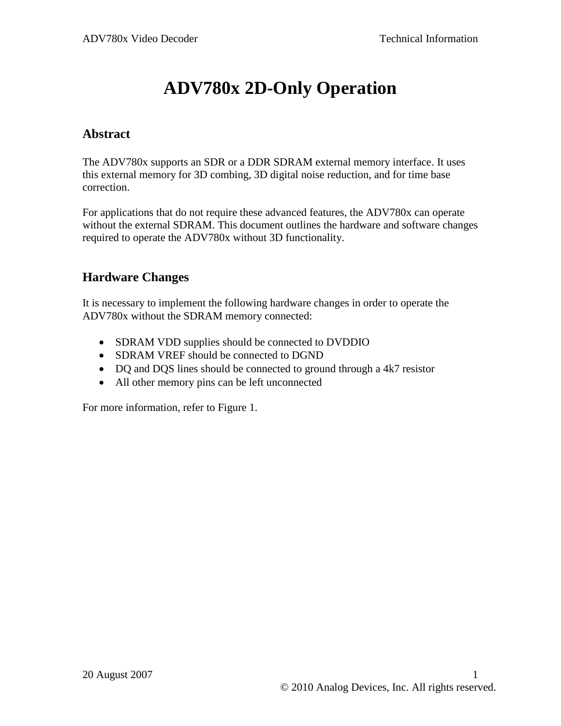# **ADV780x 2D-Only Operation**

#### **Abstract**

The ADV780x supports an SDR or a DDR SDRAM external memory interface. It uses this external memory for 3D combing, 3D digital noise reduction, and for time base correction.

For applications that do not require these advanced features, the ADV780x can operate without the external SDRAM. This document outlines the hardware and software changes required to operate the ADV780x without 3D functionality.

#### **Hardware Changes**

It is necessary to implement the following hardware changes in order to operate the ADV780x without the SDRAM memory connected:

- SDRAM VDD supplies should be connected to DVDDIO
- SDRAM VREF should be connected to DGND
- DQ and DQS lines should be connected to ground through a 4k7 resistor
- All other memory pins can be left unconnected

For more information, refer to [Figure 1.](#page-1-0)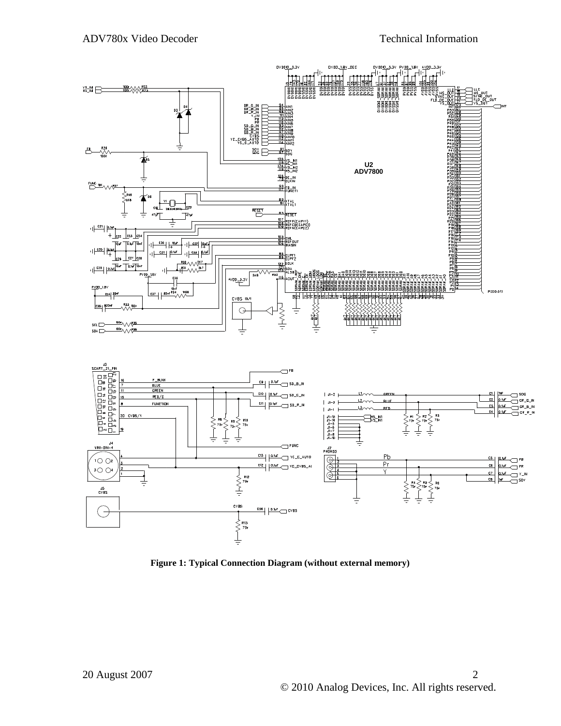

<span id="page-1-0"></span>**Figure 1: Typical Connection Diagram (without external memory)**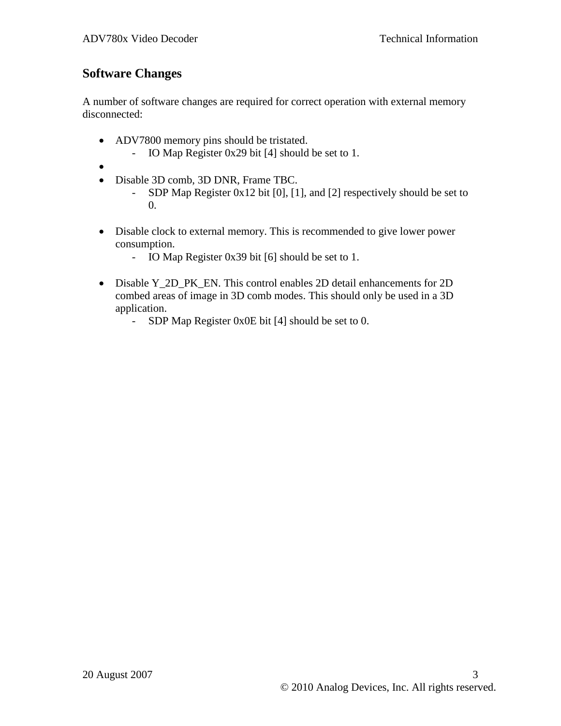## **Software Changes**

A number of software changes are required for correct operation with external memory disconnected:

- ADV7800 memory pins should be tristated.
	- IO Map Register 0x29 bit [4] should be set to 1.
- $\bullet$
- Disable 3D comb, 3D DNR, Frame TBC.
	- SDP Map Register 0x12 bit [0], [1], and [2] respectively should be set to 0.
- Disable clock to external memory. This is recommended to give lower power consumption.
	- IO Map Register 0x39 bit [6] should be set to 1.
- Disable Y\_2D\_PK\_EN. This control enables 2D detail enhancements for 2D combed areas of image in 3D comb modes. This should only be used in a 3D application.
	- SDP Map Register 0x0E bit [4] should be set to 0.